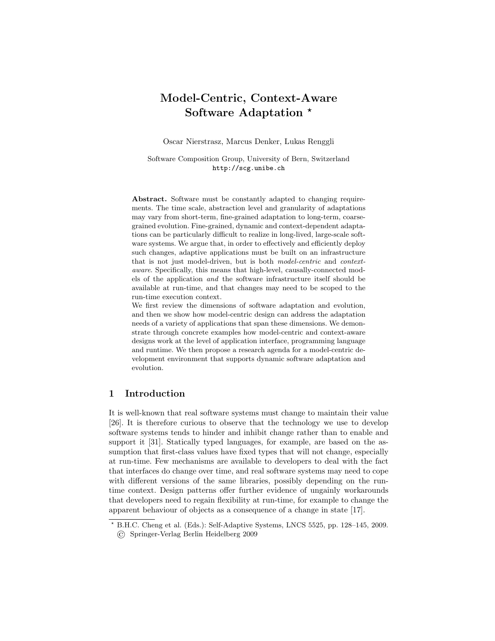# Model-Centric, Context-Aware Software Adaptation  $*$

Oscar Nierstrasz, Marcus Denker, Lukas Renggli

Software Composition Group, University of Bern, Switzerland <http://scg.unibe.ch>

Abstract. Software must be constantly adapted to changing requirements. The time scale, abstraction level and granularity of adaptations may vary from short-term, fine-grained adaptation to long-term, coarsegrained evolution. Fine-grained, dynamic and context-dependent adaptations can be particularly difficult to realize in long-lived, large-scale software systems. We argue that, in order to effectively and efficiently deploy such changes, adaptive applications must be built on an infrastructure that is not just model-driven, but is both *model-centric* and *contextaware*. Specifically, this means that high-level, causally-connected models of the application *and* the software infrastructure itself should be available at run-time, and that changes may need to be scoped to the run-time execution context.

We first review the dimensions of software adaptation and evolution, and then we show how model-centric design can address the adaptation needs of a variety of applications that span these dimensions. We demonstrate through concrete examples how model-centric and context-aware designs work at the level of application interface, programming language and runtime. We then propose a research agenda for a model-centric development environment that supports dynamic software adaptation and evolution.

### 1 Introduction

It is well-known that real software systems must change to maintain their value [\[26\]](#page-16-0). It is therefore curious to observe that the technology we use to develop software systems tends to hinder and inhibit change rather than to enable and support it [\[31\]](#page-16-1). Statically typed languages, for example, are based on the assumption that first-class values have fixed types that will not change, especially at run-time. Few mechanisms are available to developers to deal with the fact that interfaces do change over time, and real software systems may need to cope with different versions of the same libraries, possibly depending on the runtime context. Design patterns offer further evidence of ungainly workarounds that developers need to regain flexibility at run-time, for example to change the apparent behaviour of objects as a consequence of a change in state [\[17\]](#page-15-0).

<sup>⋆</sup> B.H.C. Cheng et al. (Eds.): Self-Adaptive Systems, LNCS 5525, pp. 128–145, 2009. © Springer-Verlag Berlin Heidelberg 2009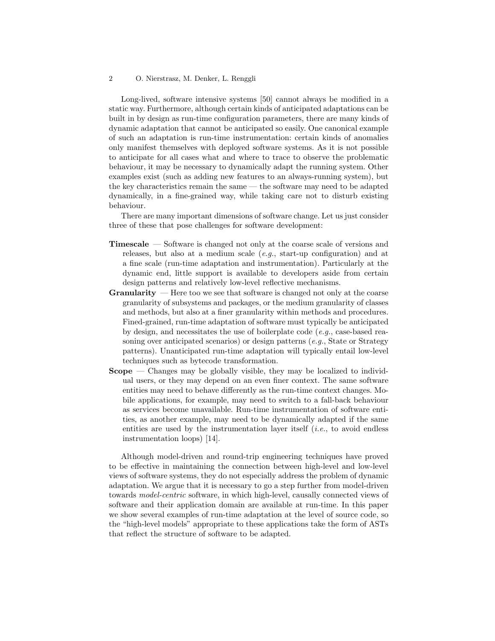Long-lived, software intensive systems [\[50\]](#page-17-0) cannot always be modified in a static way. Furthermore, although certain kinds of anticipated adaptations can be built in by design as run-time configuration parameters, there are many kinds of dynamic adaptation that cannot be anticipated so easily. One canonical example of such an adaptation is run-time instrumentation: certain kinds of anomalies only manifest themselves with deployed software systems. As it is not possible to anticipate for all cases what and where to trace to observe the problematic behaviour, it may be necessary to dynamically adapt the running system. Other examples exist (such as adding new features to an always-running system), but the key characteristics remain the same — the software may need to be adapted dynamically, in a fine-grained way, while taking care not to disturb existing behaviour.

There are many important dimensions of software change. Let us just consider three of these that pose challenges for software development:

- Timescale Software is changed not only at the coarse scale of versions and releases, but also at a medium scale (e.g., start-up configuration) and at a fine scale (run-time adaptation and instrumentation). Particularly at the dynamic end, little support is available to developers aside from certain design patterns and relatively low-level reflective mechanisms.
- **Granularity**  $\overline{\phantom{a}}$  Here too we see that software is changed not only at the coarse granularity of subsystems and packages, or the medium granularity of classes and methods, but also at a finer granularity within methods and procedures. Fined-grained, run-time adaptation of software must typically be anticipated by design, and necessitates the use of boilerplate code (e.g., case-based reasoning over anticipated scenarios) or design patterns (e.g., State or Strategy patterns). Unanticipated run-time adaptation will typically entail low-level techniques such as bytecode transformation.
- Scope Changes may be globally visible, they may be localized to individual users, or they may depend on an even finer context. The same software entities may need to behave differently as the run-time context changes. Mobile applications, for example, may need to switch to a fall-back behaviour as services become unavailable. Run-time instrumentation of software entities, as another example, may need to be dynamically adapted if the same entities are used by the instrumentation layer itself (i.e., to avoid endless instrumentation loops) [\[14\]](#page-15-1).

Although model-driven and round-trip engineering techniques have proved to be effective in maintaining the connection between high-level and low-level views of software systems, they do not especially address the problem of dynamic adaptation. We argue that it is necessary to go a step further from model-driven towards model-centric software, in which high-level, causally connected views of software and their application domain are available at run-time. In this paper we show several examples of run-time adaptation at the level of source code, so the "high-level models" appropriate to these applications take the form of ASTs that reflect the structure of software to be adapted.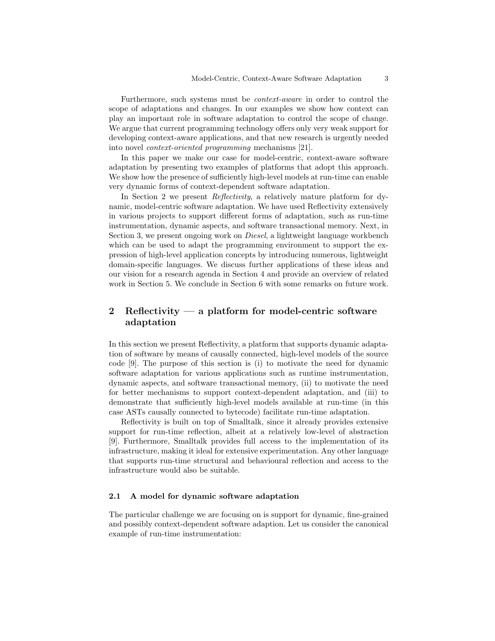Furthermore, such systems must be context-aware in order to control the scope of adaptations and changes. In our examples we show how context can play an important role in software adaptation to control the scope of change. We argue that current programming technology offers only very weak support for developing context-aware applications, and that new research is urgently needed into novel context-oriented programming mechanisms [\[21\]](#page-16-2).

In this paper we make our case for model-centric, context-aware software adaptation by presenting two examples of platforms that adopt this approach. We show how the presence of sufficiently high-level models at run-time can enable very dynamic forms of context-dependent software adaptation.

In Section [2](#page-2-0) we present *Reflectivity*, a relatively mature platform for dynamic, model-centric software adaptation. We have used Reflectivity extensively in various projects to support different forms of adaptation, such as run-time instrumentation, dynamic aspects, and software transactional memory. Next, in Section [3,](#page-7-0) we present ongoing work on Diesel, a lightweight language workbench which can be used to adapt the programming environment to support the expression of high-level application concepts by introducing numerous, lightweight domain-specific languages. We discuss further applications of these ideas and our vision for a research agenda in Section [4](#page-9-0) and provide an overview of related work in Section [5.](#page-11-0) We conclude in Section [6](#page-13-0) with some remarks on future work.

## <span id="page-2-0"></span>2 Reflectivity — a platform for model-centric software adaptation

In this section we present Reflectivity, a platform that supports dynamic adaptation of software by means of causally connected, high-level models of the source code [\[9\]](#page-15-2). The purpose of this section is (i) to motivate the need for dynamic software adaptation for various applications such as runtime instrumentation, dynamic aspects, and software transactional memory, (ii) to motivate the need for better mechanisms to support context-dependent adaptation, and (iii) to demonstrate that sufficiently high-level models available at run-time (in this case ASTs causally connected to bytecode) facilitate run-time adaptation.

Reflectivity is built on top of Smalltalk, since it already provides extensive support for run-time reflection, albeit at a relatively low-level of abstraction [\[9\]](#page-15-2). Furthermore, Smalltalk provides full access to the implementation of its infrastructure, making it ideal for extensive experimentation. Any other language that supports run-time structural and behavioural reflection and access to the infrastructure would also be suitable.

### 2.1 A model for dynamic software adaptation

The particular challenge we are focusing on is support for dynamic, fine-grained and possibly context-dependent software adaption. Let us consider the canonical example of run-time instrumentation: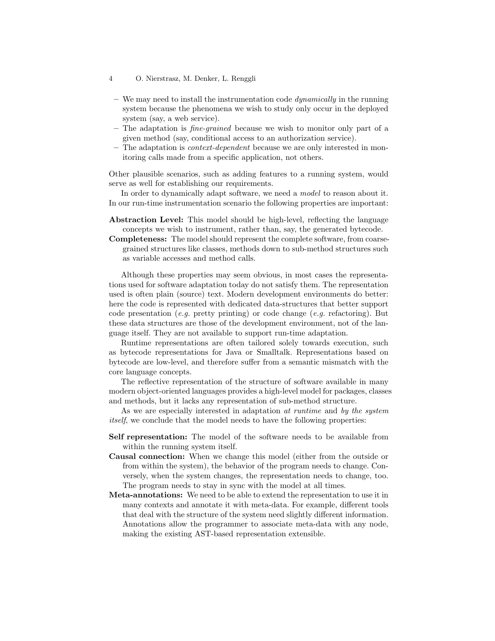- We may need to install the instrumentation code  $dynamically$  in the running system because the phenomena we wish to study only occur in the deployed system (say, a web service).
- The adaptation is *fine-grained* because we wish to monitor only part of a given method (say, conditional access to an authorization service).
- $-$  The adaptation is *context-dependent* because we are only interested in monitoring calls made from a specific application, not others.

Other plausible scenarios, such as adding features to a running system, would serve as well for establishing our requirements.

In order to dynamically adapt software, we need a model to reason about it. In our run-time instrumentation scenario the following properties are important:

- Abstraction Level: This model should be high-level, reflecting the language concepts we wish to instrument, rather than, say, the generated bytecode.
- Completeness: The model should represent the complete software, from coarsegrained structures like classes, methods down to sub-method structures such as variable accesses and method calls.

Although these properties may seem obvious, in most cases the representations used for software adaptation today do not satisfy them. The representation used is often plain (source) text. Modern development environments do better: here the code is represented with dedicated data-structures that better support code presentation (e.g. pretty printing) or code change (e.g. refactoring). But these data structures are those of the development environment, not of the language itself. They are not available to support run-time adaptation.

Runtime representations are often tailored solely towards execution, such as bytecode representations for Java or Smalltalk. Representations based on bytecode are low-level, and therefore suffer from a semantic mismatch with the core language concepts.

The reflective representation of the structure of software available in many modern object-oriented languages provides a high-level model for packages, classes and methods, but it lacks any representation of sub-method structure.

As we are especially interested in adaptation at runtime and by the system itself, we conclude that the model needs to have the following properties:

- Self representation: The model of the software needs to be available from within the running system itself.
- Causal connection: When we change this model (either from the outside or from within the system), the behavior of the program needs to change. Conversely, when the system changes, the representation needs to change, too. The program needs to stay in sync with the model at all times.
- Meta-annotations: We need to be able to extend the representation to use it in many contexts and annotate it with meta-data. For example, different tools that deal with the structure of the system need slightly different information. Annotations allow the programmer to associate meta-data with any node, making the existing AST-based representation extensible.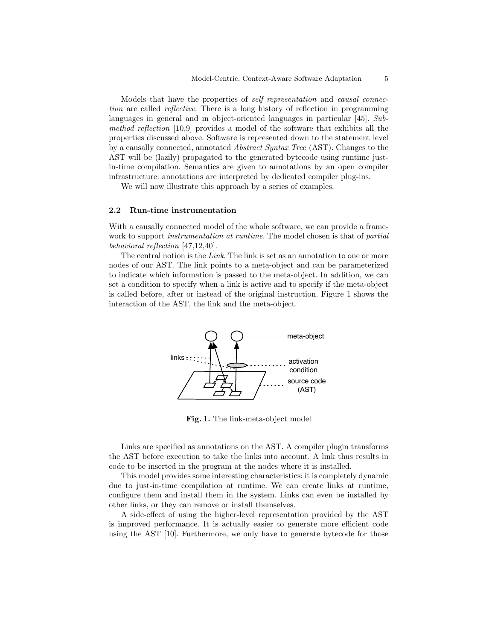Models that have the properties of self representation and causal connection are called reflective. There is a long history of reflection in programming languages in general and in object-oriented languages in particular [\[45\]](#page-17-1). Submethod reflection [\[10](#page-15-3)[,9\]](#page-15-2) provides a model of the software that exhibits all the properties discussed above. Software is represented down to the statement level by a causally connected, annotated Abstract Syntax Tree (AST). Changes to the AST will be (lazily) propagated to the generated bytecode using runtime justin-time compilation. Semantics are given to annotations by an open compiler infrastructure: annotations are interpreted by dedicated compiler plug-ins.

We will now illustrate this approach by a series of examples.

### 2.2 Run-time instrumentation

With a causally connected model of the whole software, we can provide a framework to support *instrumentation at runtime*. The model chosen is that of *partial* behavioral reflection [\[47,](#page-17-2)[12](#page-15-4)[,40\]](#page-17-3).

The central notion is the Link. The link is set as an annotation to one or more nodes of our AST. The link points to a meta-object and can be parameterized to indicate which information is passed to the meta-object. In addition, we can set a condition to specify when a link is active and to specify if the meta-object is called before, after or instead of the original instruction. Figure [1](#page-4-0) shows the interaction of the AST, the link and the meta-object.



<span id="page-4-0"></span>Fig. 1. The link-meta-object model

Links are specified as annotations on the AST. A compiler plugin transforms the AST before execution to take the links into account. A link thus results in code to be inserted in the program at the nodes where it is installed.

This model provides some interesting characteristics: it is completely dynamic due to just-in-time compilation at runtime. We can create links at runtime, configure them and install them in the system. Links can even be installed by other links, or they can remove or install themselves.

A side-effect of using the higher-level representation provided by the AST is improved performance. It is actually easier to generate more efficient code using the AST [\[10\]](#page-15-3). Furthermore, we only have to generate bytecode for those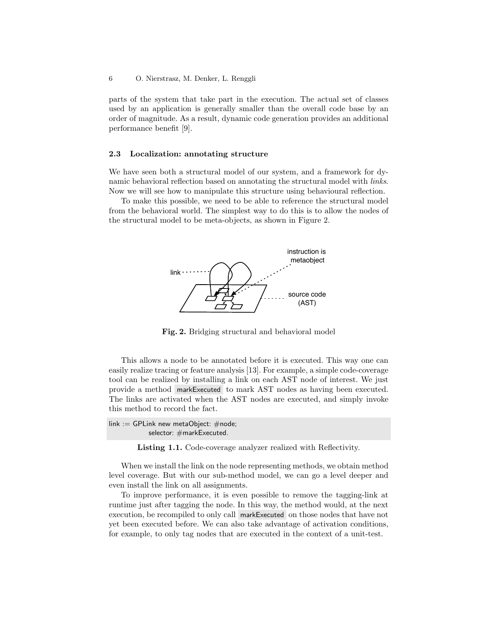parts of the system that take part in the execution. The actual set of classes used by an application is generally smaller than the overall code base by an order of magnitude. As a result, dynamic code generation provides an additional performance benefit [\[9\]](#page-15-2).

### 2.3 Localization: annotating structure

We have seen both a structural model of our system, and a framework for dynamic behavioral reflection based on annotating the structural model with links. Now we will see how to manipulate this structure using behavioural reflection.

To make this possible, we need to be able to reference the structural model from the behavioral world. The simplest way to do this is to allow the nodes of the structural model to be meta-objects, as shown in Figure [2.](#page-5-0)



<span id="page-5-0"></span>Fig. 2. Bridging structural and behavioral model

This allows a node to be annotated before it is executed. This way one can easily realize tracing or feature analysis [\[13\]](#page-15-5). For example, a simple code-coverage tool can be realized by installing a link on each AST node of interest. We just provide a method markExecuted to mark AST nodes as having been executed. The links are activated when the AST nodes are executed, and simply invoke this method to record the fact.

```
link := GPLink new metaObject: #node;
           selector: #markExecuted.
```
Listing 1.1. Code-coverage analyzer realized with Reflectivity.

When we install the link on the node representing methods, we obtain method level coverage. But with our sub-method model, we can go a level deeper and even install the link on all assignments.

To improve performance, it is even possible to remove the tagging-link at runtime just after tagging the node. In this way, the method would, at the next execution, be recompiled to only call markExecuted on those nodes that have not yet been executed before. We can also take advantage of activation conditions, for example, to only tag nodes that are executed in the context of a unit-test.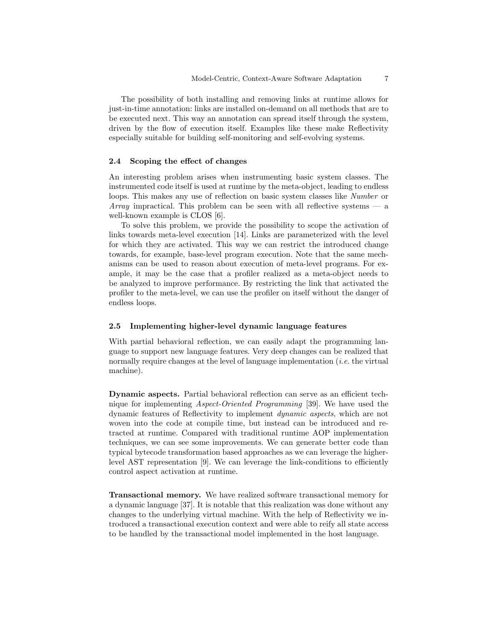The possibility of both installing and removing links at runtime allows for just-in-time annotation: links are installed on-demand on all methods that are to be executed next. This way an annotation can spread itself through the system, driven by the flow of execution itself. Examples like these make Reflectivity especially suitable for building self-monitoring and self-evolving systems.

### 2.4 Scoping the effect of changes

An interesting problem arises when instrumenting basic system classes. The instrumented code itself is used at runtime by the meta-object, leading to endless loops. This makes any use of reflection on basic system classes like Number or Array impractical. This problem can be seen with all reflective systems — a well-known example is CLOS [\[6\]](#page-15-6).

To solve this problem, we provide the possibility to scope the activation of links towards meta-level execution [\[14\]](#page-15-1). Links are parameterized with the level for which they are activated. This way we can restrict the introduced change towards, for example, base-level program execution. Note that the same mechanisms can be used to reason about execution of meta-level programs. For example, it may be the case that a profiler realized as a meta-object needs to be analyzed to improve performance. By restricting the link that activated the profiler to the meta-level, we can use the profiler on itself without the danger of endless loops.

#### 2.5 Implementing higher-level dynamic language features

With partial behavioral reflection, we can easily adapt the programming language to support new language features. Very deep changes can be realized that normally require changes at the level of language implementation (*i.e.* the virtual machine).

Dynamic aspects. Partial behavioral reflection can serve as an efficient technique for implementing Aspect-Oriented Programming [\[39\]](#page-17-4). We have used the dynamic features of Reflectivity to implement dynamic aspects, which are not woven into the code at compile time, but instead can be introduced and retracted at runtime. Compared with traditional runtime AOP implementation techniques, we can see some improvements. We can generate better code than typical bytecode transformation based approaches as we can leverage the higherlevel AST representation [\[9\]](#page-15-2). We can leverage the link-conditions to efficiently control aspect activation at runtime.

Transactional memory. We have realized software transactional memory for a dynamic language [\[37\]](#page-17-5). It is notable that this realization was done without any changes to the underlying virtual machine. With the help of Reflectivity we introduced a transactional execution context and were able to reify all state access to be handled by the transactional model implemented in the host language.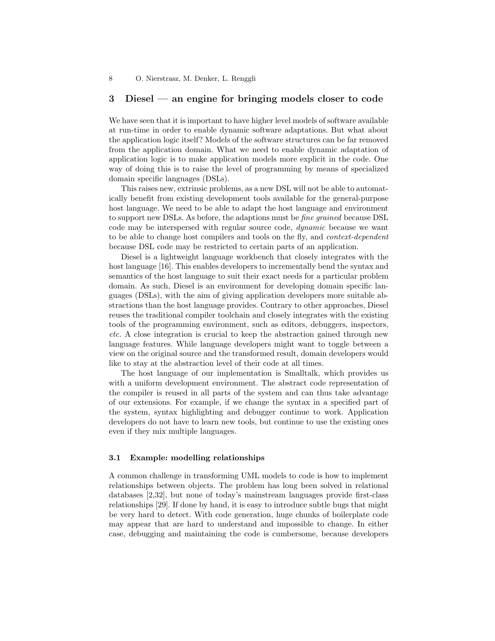### <span id="page-7-0"></span>3 Diesel — an engine for bringing models closer to code

We have seen that it is important to have higher level models of software available at run-time in order to enable dynamic software adaptations. But what about the application logic itself? Models of the software structures can be far removed from the application domain. What we need to enable dynamic adaptation of application logic is to make application models more explicit in the code. One way of doing this is to raise the level of programming by means of specialized domain specific languages (DSLs).

This raises new, extrinsic problems, as a new DSL will not be able to automatically benefit from existing development tools available for the general-purpose host language. We need to be able to adapt the host language and environment to support new DSLs. As before, the adaptions must be fine grained because DSL code may be interspersed with regular source code, dynamic because we want to be able to change host compilers and tools on the fly, and context-dependent because DSL code may be restricted to certain parts of an application.

Diesel is a lightweight language workbench that closely integrates with the host language [\[16\]](#page-15-7). This enables developers to incrementally bend the syntax and semantics of the host language to suit their exact needs for a particular problem domain. As such, Diesel is an environment for developing domain specific languages (DSLs), with the aim of giving application developers more suitable abstractions than the host language provides. Contrary to other approaches, Diesel reuses the traditional compiler toolchain and closely integrates with the existing tools of the programming environment, such as editors, debuggers, inspectors, etc. A close integration is crucial to keep the abstraction gained through new language features. While language developers might want to toggle between a view on the original source and the transformed result, domain developers would like to stay at the abstraction level of their code at all times.

The host language of our implementation is Smalltalk, which provides us with a uniform development environment. The abstract code representation of the compiler is reused in all parts of the system and can thus take advantage of our extensions. For example, if we change the syntax in a specified part of the system, syntax highlighting and debugger continue to work. Application developers do not have to learn new tools, but continue to use the existing ones even if they mix multiple languages.

### 3.1 Example: modelling relationships

A common challenge in transforming UML models to code is how to implement relationships between objects. The problem has long been solved in relational databases [\[2,](#page-14-0)[32\]](#page-16-3), but none of today's mainstream languages provide first-class relationships [\[29\]](#page-16-4). If done by hand, it is easy to introduce subtle bugs that might be very hard to detect. With code generation, huge chunks of boilerplate code may appear that are hard to understand and impossible to change. In either case, debugging and maintaining the code is cumbersome, because developers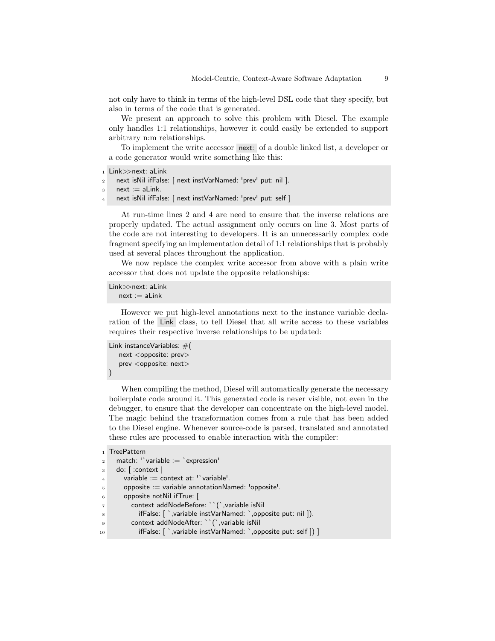not only have to think in terms of the high-level DSL code that they specify, but also in terms of the code that is generated.

We present an approach to solve this problem with Diesel. The example only handles 1:1 relationships, however it could easily be extended to support arbitrary n:m relationships.

To implement the write accessor next: of a double linked list, a developer or a code generator would write something like this:

```
1 Link>>next: aLink
```
<sup>2</sup> next isNil ifFalse: [ next instVarNamed: 'prev' put: nil ].

```
3 next := aLink.
```
next isNil ifFalse: [ next instVarNamed: 'prev' put: self ]

At run-time lines 2 and 4 are need to ensure that the inverse relations are properly updated. The actual assignment only occurs on line 3. Most parts of the code are not interesting to developers. It is an unnecessarily complex code fragment specifying an implementation detail of 1:1 relationships that is probably used at several places throughout the application.

We now replace the complex write accessor from above with a plain write accessor that does not update the opposite relationships:

```
Link>>next: aLink
   next := <b>alink</b>
```
However we put high-level annotations next to the instance variable declaration of the Link class, to tell Diesel that all write access to these variables requires their respective inverse relationships to be updated:

```
Link instanceVariables: #(
   next <opposite: prev>
   prev <opposite: next>
)
```
When compiling the method, Diesel will automatically generate the necessary boilerplate code around it. This generated code is never visible, not even in the debugger, to ensure that the developer can concentrate on the high-level model. The magic behind the transformation comes from a rule that has been added to the Diesel engine. Whenever source-code is parsed, translated and annotated these rules are processed to enable interaction with the compiler:

```
1 TreePattern
2 match: \Gamma variable := \Gamma expression
3 do: [ :context |
4 variable := context at: \Gamma variable'.
5 opposite : = variable annotationNamed: 'opposite'.
6 opposite notNil ifTrue: [
7 context addNodeBefore: ``(`,variable isNil
8 ifFalse: [ `,variable instVarNamed: `,opposite put: nil ]).
9 context addNodeAfter: ``(`,variable isNil
10 ifFalse: \lceil \cdot \rangle, variable instVarNamed: \rangle, opposite put: self \rceil) \rceil
```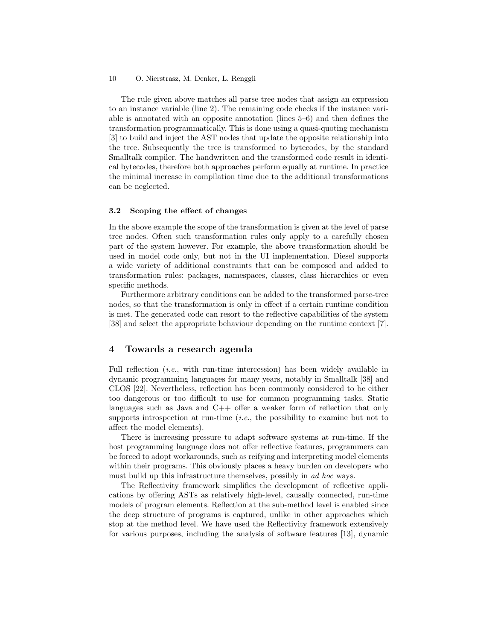The rule given above matches all parse tree nodes that assign an expression to an instance variable (line 2). The remaining code checks if the instance variable is annotated with an opposite annotation (lines 5–6) and then defines the transformation programmatically. This is done using a quasi-quoting mechanism [\[3\]](#page-15-8) to build and inject the AST nodes that update the opposite relationship into the tree. Subsequently the tree is transformed to bytecodes, by the standard Smalltalk compiler. The handwritten and the transformed code result in identical bytecodes, therefore both approaches perform equally at runtime. In practice the minimal increase in compilation time due to the additional transformations can be neglected.

#### 3.2 Scoping the effect of changes

In the above example the scope of the transformation is given at the level of parse tree nodes. Often such transformation rules only apply to a carefully chosen part of the system however. For example, the above transformation should be used in model code only, but not in the UI implementation. Diesel supports a wide variety of additional constraints that can be composed and added to transformation rules: packages, namespaces, classes, class hierarchies or even specific methods.

Furthermore arbitrary conditions can be added to the transformed parse-tree nodes, so that the transformation is only in effect if a certain runtime condition is met. The generated code can resort to the reflective capabilities of the system [\[38\]](#page-17-6) and select the appropriate behaviour depending on the runtime context [\[7\]](#page-15-9).

### <span id="page-9-0"></span>4 Towards a research agenda

Full reflection  $(i.e., with run-time intersections)$  has been widely available in dynamic programming languages for many years, notably in Smalltalk [\[38\]](#page-17-6) and CLOS [\[22\]](#page-16-5). Nevertheless, reflection has been commonly considered to be either too dangerous or too difficult to use for common programming tasks. Static languages such as Java and C++ offer a weaker form of reflection that only supports introspection at run-time  $(i.e.,$  the possibility to examine but not to affect the model elements).

There is increasing pressure to adapt software systems at run-time. If the host programming language does not offer reflective features, programmers can be forced to adopt workarounds, such as reifying and interpreting model elements within their programs. This obviously places a heavy burden on developers who must build up this infrastructure themselves, possibly in ad hoc ways.

The Reflectivity framework simplifies the development of reflective applications by offering ASTs as relatively high-level, causally connected, run-time models of program elements. Reflection at the sub-method level is enabled since the deep structure of programs is captured, unlike in other approaches which stop at the method level. We have used the Reflectivity framework extensively for various purposes, including the analysis of software features [\[13\]](#page-15-5), dynamic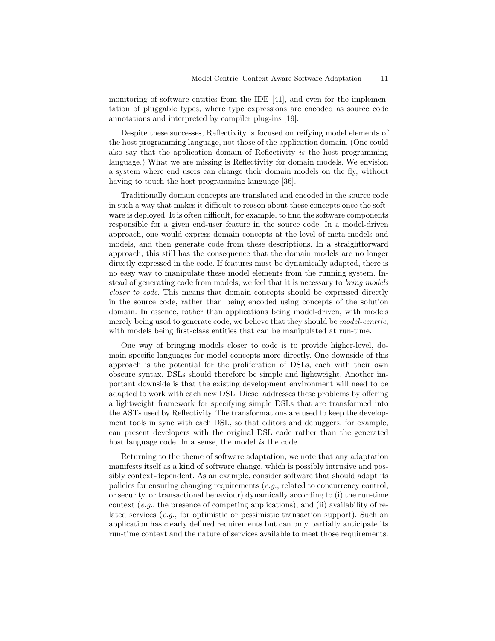monitoring of software entities from the IDE [\[41\]](#page-17-7), and even for the implementation of pluggable types, where type expressions are encoded as source code annotations and interpreted by compiler plug-ins [\[19\]](#page-16-6).

Despite these successes, Reflectivity is focused on reifying model elements of the host programming language, not those of the application domain. (One could also say that the application domain of Reflectivity is the host programming language.) What we are missing is Reflectivity for domain models. We envision a system where end users can change their domain models on the fly, without having to touch the host programming language [\[36\]](#page-16-7).

Traditionally domain concepts are translated and encoded in the source code in such a way that makes it difficult to reason about these concepts once the software is deployed. It is often difficult, for example, to find the software components responsible for a given end-user feature in the source code. In a model-driven approach, one would express domain concepts at the level of meta-models and models, and then generate code from these descriptions. In a straightforward approach, this still has the consequence that the domain models are no longer directly expressed in the code. If features must be dynamically adapted, there is no easy way to manipulate these model elements from the running system. Instead of generating code from models, we feel that it is necessary to bring models closer to code. This means that domain concepts should be expressed directly in the source code, rather than being encoded using concepts of the solution domain. In essence, rather than applications being model-driven, with models merely being used to generate code, we believe that they should be *model-centric*, with models being first-class entities that can be manipulated at run-time.

One way of bringing models closer to code is to provide higher-level, domain specific languages for model concepts more directly. One downside of this approach is the potential for the proliferation of DSLs, each with their own obscure syntax. DSLs should therefore be simple and lightweight. Another important downside is that the existing development environment will need to be adapted to work with each new DSL. Diesel addresses these problems by offering a lightweight framework for specifying simple DSLs that are transformed into the ASTs used by Reflectivity. The transformations are used to keep the development tools in sync with each DSL, so that editors and debuggers, for example, can present developers with the original DSL code rather than the generated host language code. In a sense, the model is the code.

Returning to the theme of software adaptation, we note that any adaptation manifests itself as a kind of software change, which is possibly intrusive and possibly context-dependent. As an example, consider software that should adapt its policies for ensuring changing requirements (e.g., related to concurrency control, or security, or transactional behaviour) dynamically according to (i) the run-time context  $(e,q)$ , the presence of competing applications), and (ii) availability of related services (e.g., for optimistic or pessimistic transaction support). Such an application has clearly defined requirements but can only partially anticipate its run-time context and the nature of services available to meet those requirements.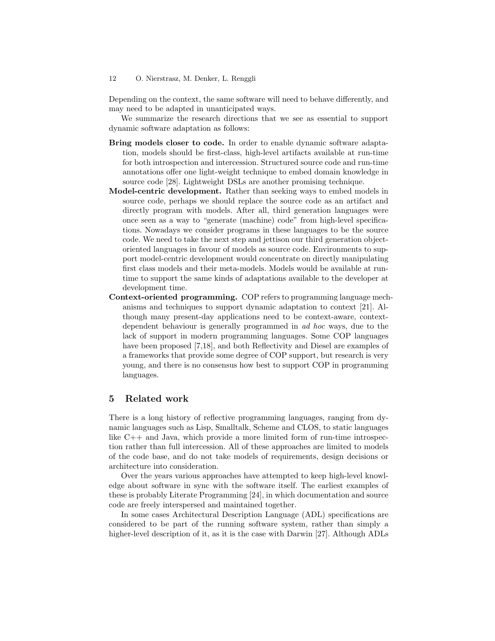Depending on the context, the same software will need to behave differently, and may need to be adapted in unanticipated ways.

We summarize the research directions that we see as essential to support dynamic software adaptation as follows:

- Bring models closer to code. In order to enable dynamic software adaptation, models should be first-class, high-level artifacts available at run-time for both introspection and intercession. Structured source code and run-time annotations offer one light-weight technique to embed domain knowledge in source code [\[28\]](#page-16-8). Lightweight DSLs are another promising technique.
- Model-centric development. Rather than seeking ways to embed models in source code, perhaps we should replace the source code as an artifact and directly program with models. After all, third generation languages were once seen as a way to "generate (machine) code" from high-level specifications. Nowadays we consider programs in these languages to be the source code. We need to take the next step and jettison our third generation objectoriented languages in favour of models as source code. Environments to support model-centric development would concentrate on directly manipulating first class models and their meta-models. Models would be available at runtime to support the same kinds of adaptations available to the developer at development time.
- Context-oriented programming. COP refers to programming language mechanisms and techniques to support dynamic adaptation to context [\[21\]](#page-16-2). Although many present-day applications need to be context-aware, contextdependent behaviour is generally programmed in ad hoc ways, due to the lack of support in modern programming languages. Some COP languages have been proposed [\[7,](#page-15-9)[18\]](#page-15-10), and both Reflectivity and Diesel are examples of a frameworks that provide some degree of COP support, but research is very young, and there is no consensus how best to support COP in programming languages.

### <span id="page-11-0"></span>5 Related work

There is a long history of reflective programming languages, ranging from dynamic languages such as Lisp, Smalltalk, Scheme and CLOS, to static languages like C++ and Java, which provide a more limited form of run-time introspection rather than full intercession. All of these approaches are limited to models of the code base, and do not take models of requirements, design decisions or architecture into consideration.

Over the years various approaches have attempted to keep high-level knowledge about software in sync with the software itself. The earliest examples of these is probably Literate Programming [\[24\]](#page-16-9), in which documentation and source code are freely interspersed and maintained together.

In some cases Architectural Description Language (ADL) specifications are considered to be part of the running software system, rather than simply a higher-level description of it, as it is the case with Darwin [\[27\]](#page-16-10). Although ADLs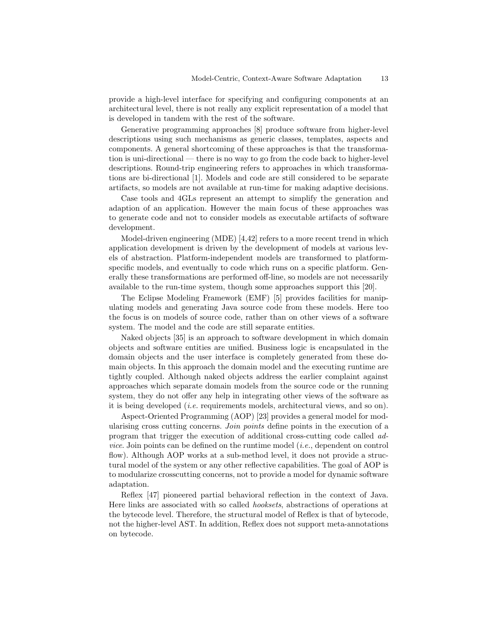provide a high-level interface for specifying and configuring components at an architectural level, there is not really any explicit representation of a model that is developed in tandem with the rest of the software.

Generative programming approaches [\[8\]](#page-15-11) produce software from higher-level descriptions using such mechanisms as generic classes, templates, aspects and components. A general shortcoming of these approaches is that the transformation is uni-directional — there is no way to go from the code back to higher-level descriptions. Round-trip engineering refers to approaches in which transformations are bi-directional [\[1\]](#page-14-1). Models and code are still considered to be separate artifacts, so models are not available at run-time for making adaptive decisions.

Case tools and 4GLs represent an attempt to simplify the generation and adaption of an application. However the main focus of these approaches was to generate code and not to consider models as executable artifacts of software development.

Model-driven engineering (MDE) [\[4,](#page-15-12)[42\]](#page-17-8) refers to a more recent trend in which application development is driven by the development of models at various levels of abstraction. Platform-independent models are transformed to platformspecific models, and eventually to code which runs on a specific platform. Generally these transformations are performed off-line, so models are not necessarily available to the run-time system, though some approaches support this [\[20\]](#page-16-11).

The Eclipse Modeling Framework (EMF) [\[5\]](#page-15-13) provides facilities for manipulating models and generating Java source code from these models. Here too the focus is on models of source code, rather than on other views of a software system. The model and the code are still separate entities.

Naked objects [\[35\]](#page-16-12) is an approach to software development in which domain objects and software entities are unified. Business logic is encapsulated in the domain objects and the user interface is completely generated from these domain objects. In this approach the domain model and the executing runtime are tightly coupled. Although naked objects address the earlier complaint against approaches which separate domain models from the source code or the running system, they do not offer any help in integrating other views of the software as it is being developed (i.e. requirements models, architectural views, and so on).

Aspect-Oriented Programming (AOP) [\[23\]](#page-16-13) provides a general model for modularising cross cutting concerns. Join points define points in the execution of a program that trigger the execution of additional cross-cutting code called ad*vice*. Join points can be defined on the runtime model  $(i.e., dependent on control)$ flow). Although AOP works at a sub-method level, it does not provide a structural model of the system or any other reflective capabilities. The goal of AOP is to modularize crosscutting concerns, not to provide a model for dynamic software adaptation.

Reflex [\[47\]](#page-17-2) pioneered partial behavioral reflection in the context of Java. Here links are associated with so called hooksets, abstractions of operations at the bytecode level. Therefore, the structural model of Reflex is that of bytecode, not the higher-level AST. In addition, Reflex does not support meta-annotations on bytecode.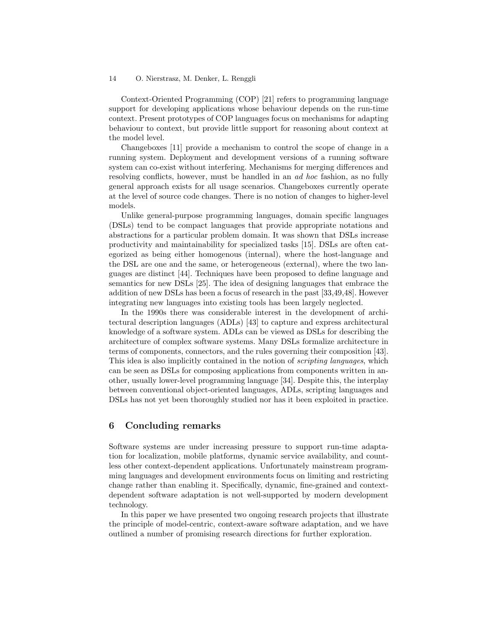Context-Oriented Programming (COP) [\[21\]](#page-16-2) refers to programming language support for developing applications whose behaviour depends on the run-time context. Present prototypes of COP languages focus on mechanisms for adapting behaviour to context, but provide little support for reasoning about context at the model level.

Changeboxes [\[11\]](#page-15-14) provide a mechanism to control the scope of change in a running system. Deployment and development versions of a running software system can co-exist without interfering. Mechanisms for merging differences and resolving conflicts, however, must be handled in an ad hoc fashion, as no fully general approach exists for all usage scenarios. Changeboxes currently operate at the level of source code changes. There is no notion of changes to higher-level models.

Unlike general-purpose programming languages, domain specific languages (DSLs) tend to be compact languages that provide appropriate notations and abstractions for a particular problem domain. It was shown that DSLs increase productivity and maintainability for specialized tasks [\[15\]](#page-15-15). DSLs are often categorized as being either homogenous (internal), where the host-language and the DSL are one and the same, or heterogeneous (external), where the two languages are distinct [\[44\]](#page-17-9). Techniques have been proposed to define language and semantics for new DSLs [\[25\]](#page-16-14). The idea of designing languages that embrace the addition of new DSLs has been a focus of research in the past [\[33](#page-16-15)[,49,](#page-17-10)[48\]](#page-17-11). However integrating new languages into existing tools has been largely neglected.

In the 1990s there was considerable interest in the development of architectural description languages (ADLs) [\[43\]](#page-17-12) to capture and express architectural knowledge of a software system. ADLs can be viewed as DSLs for describing the architecture of complex software systems. Many DSLs formalize architecture in terms of components, connectors, and the rules governing their composition [\[43\]](#page-17-12). This idea is also implicitly contained in the notion of scripting languages, which can be seen as DSLs for composing applications from components written in another, usually lower-level programming language [\[34\]](#page-16-16). Despite this, the interplay between conventional object-oriented languages, ADLs, scripting languages and DSLs has not yet been thoroughly studied nor has it been exploited in practice.

### <span id="page-13-0"></span>6 Concluding remarks

Software systems are under increasing pressure to support run-time adaptation for localization, mobile platforms, dynamic service availability, and countless other context-dependent applications. Unfortunately mainstream programming languages and development environments focus on limiting and restricting change rather than enabling it. Specifically, dynamic, fine-grained and contextdependent software adaptation is not well-supported by modern development technology.

In this paper we have presented two ongoing research projects that illustrate the principle of model-centric, context-aware software adaptation, and we have outlined a number of promising research directions for further exploration.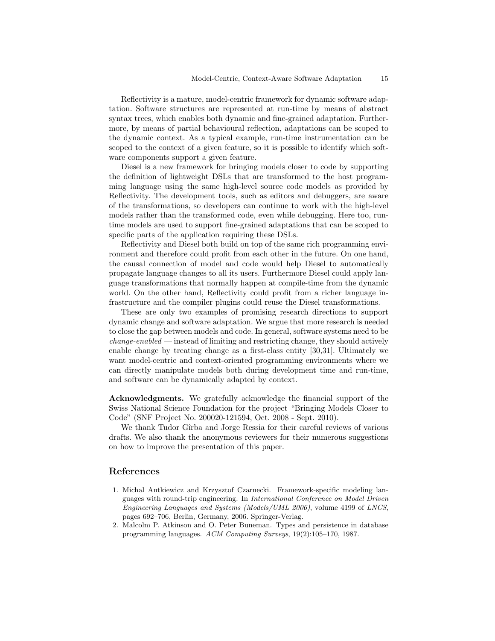Reflectivity is a mature, model-centric framework for dynamic software adaptation. Software structures are represented at run-time by means of abstract syntax trees, which enables both dynamic and fine-grained adaptation. Furthermore, by means of partial behavioural reflection, adaptations can be scoped to the dynamic context. As a typical example, run-time instrumentation can be scoped to the context of a given feature, so it is possible to identify which software components support a given feature.

Diesel is a new framework for bringing models closer to code by supporting the definition of lightweight DSLs that are transformed to the host programming language using the same high-level source code models as provided by Reflectivity. The development tools, such as editors and debuggers, are aware of the transformations, so developers can continue to work with the high-level models rather than the transformed code, even while debugging. Here too, runtime models are used to support fine-grained adaptations that can be scoped to specific parts of the application requiring these DSLs.

Reflectivity and Diesel both build on top of the same rich programming environment and therefore could profit from each other in the future. On one hand, the causal connection of model and code would help Diesel to automatically propagate language changes to all its users. Furthermore Diesel could apply language transformations that normally happen at compile-time from the dynamic world. On the other hand, Reflectivity could profit from a richer language infrastructure and the compiler plugins could reuse the Diesel transformations.

These are only two examples of promising research directions to support dynamic change and software adaptation. We argue that more research is needed to close the gap between models and code. In general, software systems need to be change-enabled — instead of limiting and restricting change, they should actively enable change by treating change as a first-class entity [\[30](#page-16-17)[,31\]](#page-16-1). Ultimately we want model-centric and context-oriented programming environments where we can directly manipulate models both during development time and run-time, and software can be dynamically adapted by context.

Acknowledgments. We gratefully acknowledge the financial support of the Swiss National Science Foundation for the project "Bringing Models Closer to Code" (SNF Project No. 200020-121594, Oct. 2008 - Sept. 2010).

We thank Tudor Gîrba and Jorge Ressia for their careful reviews of various drafts. We also thank the anonymous reviewers for their numerous suggestions on how to improve the presentation of this paper.

### References

- <span id="page-14-1"></span>1. Michal Antkiewicz and Krzysztof Czarnecki. Framework-specific modeling languages with round-trip engineering. In *International Conference on Model Driven Engineering Languages and Systems (Models/UML 2006)*, volume 4199 of *LNCS*, pages 692–706, Berlin, Germany, 2006. Springer-Verlag.
- <span id="page-14-0"></span>2. Malcolm P. Atkinson and O. Peter Buneman. Types and persistence in database programming languages. *ACM Computing Surveys*, 19(2):105–170, 1987.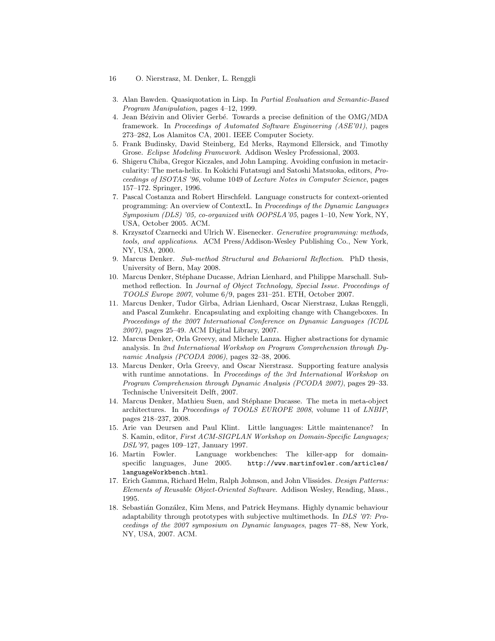- 16 O. Nierstrasz, M. Denker, L. Renggli
- <span id="page-15-8"></span>3. Alan Bawden. Quasiquotation in Lisp. In *Partial Evaluation and Semantic-Based Program Manipulation*, pages 4–12, 1999.
- <span id="page-15-12"></span>4. Jean Bézivin and Olivier Gerbé. Towards a precise definition of the OMG/MDA framework. In *Proceedings of Automated Software Engineering (ASE'01)*, pages 273–282, Los Alamitos CA, 2001. IEEE Computer Society.
- <span id="page-15-13"></span>5. Frank Budinsky, David Steinberg, Ed Merks, Raymond Ellersick, and Timothy Grose. *Eclipse Modeling Framework*. Addison Wesley Professional, 2003.
- <span id="page-15-6"></span>6. Shigeru Chiba, Gregor Kiczales, and John Lamping. Avoiding confusion in metacircularity: The meta-helix. In Kokichi Futatsugi and Satoshi Matsuoka, editors, *Proceedings of ISOTAS '96*, volume 1049 of *Lecture Notes in Computer Science*, pages 157–172. Springer, 1996.
- <span id="page-15-9"></span>7. Pascal Costanza and Robert Hirschfeld. Language constructs for context-oriented programming: An overview of ContextL. In *Proceedings of the Dynamic Languages Symposium (DLS) '05, co-organized with OOPSLA'05*, pages 1–10, New York, NY, USA, October 2005. ACM.
- <span id="page-15-11"></span>8. Krzysztof Czarnecki and Ulrich W. Eisenecker. *Generative programming: methods, tools, and applications*. ACM Press/Addison-Wesley Publishing Co., New York, NY, USA, 2000.
- <span id="page-15-2"></span>9. Marcus Denker. *Sub-method Structural and Behavioral Reflection*. PhD thesis, University of Bern, May 2008.
- <span id="page-15-3"></span>10. Marcus Denker, St´ephane Ducasse, Adrian Lienhard, and Philippe Marschall. Submethod reflection. In *Journal of Object Technology, Special Issue. Proceedings of TOOLS Europe 2007*, volume 6/9, pages 231–251. ETH, October 2007.
- <span id="page-15-14"></span>11. Marcus Denker, Tudor Gˆırba, Adrian Lienhard, Oscar Nierstrasz, Lukas Renggli, and Pascal Zumkehr. Encapsulating and exploiting change with Changeboxes. In *Proceedings of the 2007 International Conference on Dynamic Languages (ICDL 2007)*, pages 25–49. ACM Digital Library, 2007.
- <span id="page-15-4"></span>12. Marcus Denker, Orla Greevy, and Michele Lanza. Higher abstractions for dynamic analysis. In *2nd International Workshop on Program Comprehension through Dynamic Analysis (PCODA 2006)*, pages 32–38, 2006.
- <span id="page-15-5"></span>13. Marcus Denker, Orla Greevy, and Oscar Nierstrasz. Supporting feature analysis with runtime annotations. In *Proceedings of the 3rd International Workshop on Program Comprehension through Dynamic Analysis (PCODA 2007)*, pages 29–33. Technische Universiteit Delft, 2007.
- <span id="page-15-1"></span>14. Marcus Denker, Mathieu Suen, and Stéphane Ducasse. The meta in meta-object architectures. In *Proceedings of TOOLS EUROPE 2008*, volume 11 of *LNBIP*, pages 218–237, 2008.
- <span id="page-15-15"></span>15. Arie van Deursen and Paul Klint. Little languages: Little maintenance? In S. Kamin, editor, *First ACM-SIGPLAN Workshop on Domain-Specific Languages; DSL'97*, pages 109–127, January 1997.
- <span id="page-15-7"></span>16. Martin Fowler. Language workbenches: The killer-app for domainspecific languages, June 2005. [http://www.martinfowler.com/articles/](http://www.martinfowler.com/articles/languageWorkbench.html) [languageWorkbench.html](http://www.martinfowler.com/articles/languageWorkbench.html).
- <span id="page-15-0"></span>17. Erich Gamma, Richard Helm, Ralph Johnson, and John Vlissides. *Design Patterns: Elements of Reusable Object-Oriented Software*. Addison Wesley, Reading, Mass., 1995.
- <span id="page-15-10"></span>18. Sebastián González, Kim Mens, and Patrick Heymans. Highly dynamic behaviour adaptability through prototypes with subjective multimethods. In *DLS '07: Proceedings of the 2007 symposium on Dynamic languages*, pages 77–88, New York, NY, USA, 2007. ACM.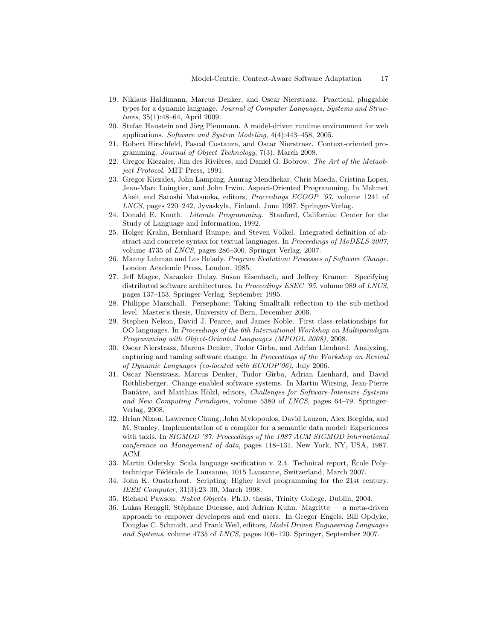- <span id="page-16-6"></span>19. Niklaus Haldimann, Marcus Denker, and Oscar Nierstrasz. Practical, pluggable types for a dynamic language. *Journal of Computer Languages, Systems and Structures*, 35(1):48–64, April 2009.
- <span id="page-16-11"></span>20. Stefan Haustein and Jörg Pleumann. A model-driven runtime environment for web applications. *Software and System Modeling*, 4(4):443–458, 2005.
- <span id="page-16-2"></span>21. Robert Hirschfeld, Pascal Costanza, and Oscar Nierstrasz. Context-oriented programming. *Journal of Object Technology*, 7(3), March 2008.
- <span id="page-16-5"></span>22. Gregor Kiczales, Jim des Rivières, and Daniel G. Bobrow. *The Art of the Metaobject Protocol*. MIT Press, 1991.
- <span id="page-16-13"></span>23. Gregor Kiczales, John Lamping, Anurag Mendhekar, Chris Maeda, Cristina Lopes, Jean-Marc Loingtier, and John Irwin. Aspect-Oriented Programming. In Mehmet Aksit and Satoshi Matsuoka, editors, *Proceedings ECOOP '97*, volume 1241 of *LNCS*, pages 220–242, Jyvaskyla, Finland, June 1997. Springer-Verlag.
- <span id="page-16-9"></span>24. Donald E. Knuth. *Literate Programming*. Stanford, California: Center for the Study of Language and Information, 1992.
- <span id="page-16-14"></span>25. Holger Krahn, Bernhard Rumpe, and Steven Völkel. Integrated definition of abstract and concrete syntax for textual languages. In *Proceedings of MoDELS 2007*, volume 4735 of *LNCS*, pages 286–300. Springer Verlag, 2007.
- <span id="page-16-0"></span>26. Manny Lehman and Les Belady. *Program Evolution: Processes of Software Change*. London Academic Press, London, 1985.
- <span id="page-16-10"></span>27. Jeff Magee, Naranker Dulay, Susan Eisenbach, and Jeffrey Kramer. Specifying distributed software architectures. In *Proceedings ESEC '95*, volume 989 of *LNCS*, pages 137–153. Springer-Verlag, September 1995.
- <span id="page-16-8"></span>28. Philippe Marschall. Persephone: Taking Smalltalk reflection to the sub-method level. Master's thesis, University of Bern, December 2006.
- <span id="page-16-4"></span>29. Stephen Nelson, David J. Pearce, and James Noble. First class relationships for OO languages. In *Proceedings of the 6th International Workshop on Multiparadigm Programming with Object-Oriented Languages (MPOOL 2008)*, 2008.
- <span id="page-16-17"></span>30. Oscar Nierstrasz, Marcus Denker, Tudor Gˆırba, and Adrian Lienhard. Analyzing, capturing and taming software change. In *Proceedings of the Workshop on Revival of Dynamic Languages (co-located with ECOOP'06)*, July 2006.
- <span id="page-16-1"></span>31. Oscar Nierstrasz, Marcus Denker, Tudor Gîrba, Adrian Lienhard, and David Röthlisberger. Change-enabled software systems. In Martin Wirsing, Jean-Pierre Banâtre, and Matthias Hölzl, editors, *Challenges for Software-Intensive Systems and New Computing Paradigms*, volume 5380 of *LNCS*, pages 64–79. Springer-Verlag, 2008.
- <span id="page-16-3"></span>32. Brian Nixon, Lawrence Chung, John Mylopoulos, David Lauzon, Alex Borgida, and M. Stanley. Implementation of a compiler for a semantic data model: Experiences with taxis. In *SIGMOD '87: Proceedings of the 1987 ACM SIGMOD international conference on Management of data*, pages 118–131, New York, NY, USA, 1987. ACM.
- <span id="page-16-15"></span>33. Martin Odersky. Scala language secification v. 2.4. Technical report, Ecole Poly- ´ technique Fédérale de Lausanne, 1015 Lausanne, Switzerland, March 2007.
- <span id="page-16-16"></span>34. John K. Ousterhout. Scripting: Higher level programming for the 21st century. *IEEE Computer*, 31(3):23–30, March 1998.
- <span id="page-16-12"></span>35. Richard Pawson. *Naked Objects*. Ph.D. thesis, Trinity College, Dublin, 2004.
- <span id="page-16-7"></span>36. Lukas Renggli, Stéphane Ducasse, and Adrian Kuhn. Magritte — a meta-driven approach to empower developers and end users. In Gregor Engels, Bill Opdyke, Douglas C. Schmidt, and Frank Weil, editors, *Model Driven Engineering Languages and Systems*, volume 4735 of *LNCS*, pages 106–120. Springer, September 2007.